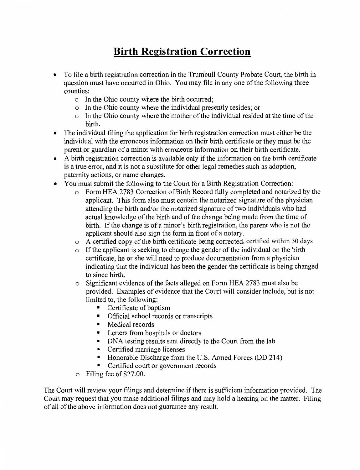## **Birth Registration Correction**

- To file a birth registration correction in the Trumbull County Probate Court, the birth in question must have occurred in Ohio. You may file in any one of the following three counties:
	- o In the Ohio county where the birth occurred;
	- o In the Ohio county where the individual presently resides; or
	- o In the Ohio county where the mother of the individual resided at the time of the birth.
- The individual filing the application for birth registration correction must either be the individual with the erroneous information on their birth certificate or they must be the parent or guardian of a minor with erroneous information on their birth certificate.
- A birth registration correction is available only if the information on the birth certificate is a true error, and it is not a substitute for other legal remedies such as adoption, paternity actions, or name changes.
- You must submit the following to the Court for a Birth Registration Correction:
	- o Form HEA 2783 Correction of Birth Record fully completed and notarized by the applicant. This form also must contain the notarized signature of the physician attending the birth and/or the notarized signature of two individuals who had actual knowledge of the birth and of the change being made from the time of birth. If the change is of a minor's birth registration, the parent who is not the applicant should also sign the form in front of a notary.
	- o A certified copy of the birth certificate being corrected, certified within 30 days
	- o If the applicant is seeking to change the gender of the individual on the birth certificate, he or she will need to produce documentation from a physician indicating that the individual has been the gender the certificate is being changed to since birth.
	- o Significant evidence of the facts alleged on Form HEA 2783 must also be provided. Examples of evidence that the Court will consider include, but is not limited to, the following:
		- Certificate of baptism
		- Official school records or transcripts
		- Medical records
		- Letters from hospitals or doctors
		- DNA testing results sent directly to the Court from the lab
		- Certified marriage licenses
		- Honorable Discharge from the U.S. Armed Forces (DD 214)
		- Certified court or government records
	- o Filing fee of\$27.00.

The Court will review your filings and determine if there is sufficient information provided. The Court may request that you make additional filings and may hold a hearing on the matter. Filing of all of the above information does not guarantee any result.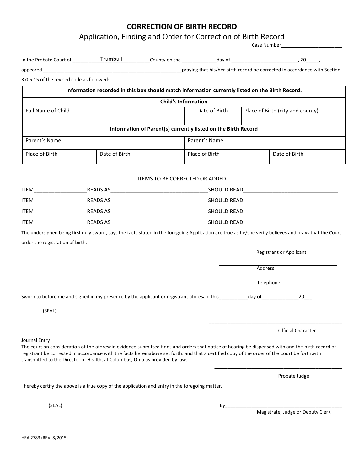## **CORRECTION OF BIRTH RECORD**

Application, Finding and Order for Correction of Birth Record

|                                          | In the Probate Court of ___________Trumbull                                                                                                                                                                                  |                                       |                                                               |                                  |                                                                                                                                                        |  |
|------------------------------------------|------------------------------------------------------------------------------------------------------------------------------------------------------------------------------------------------------------------------------|---------------------------------------|---------------------------------------------------------------|----------------------------------|--------------------------------------------------------------------------------------------------------------------------------------------------------|--|
|                                          |                                                                                                                                                                                                                              |                                       |                                                               |                                  |                                                                                                                                                        |  |
| 3705.15 of the revised code as followed: |                                                                                                                                                                                                                              |                                       |                                                               |                                  |                                                                                                                                                        |  |
|                                          | Information recorded in this box should match information currently listed on the Birth Record.                                                                                                                              |                                       |                                                               |                                  |                                                                                                                                                        |  |
|                                          |                                                                                                                                                                                                                              |                                       | <b>Child's Information</b>                                    |                                  |                                                                                                                                                        |  |
| Full Name of Child                       |                                                                                                                                                                                                                              |                                       | Date of Birth                                                 | Place of Birth (city and county) |                                                                                                                                                        |  |
|                                          |                                                                                                                                                                                                                              |                                       | Information of Parent(s) currently listed on the Birth Record |                                  |                                                                                                                                                        |  |
| Parent's Name                            |                                                                                                                                                                                                                              |                                       | Parent's Name                                                 |                                  |                                                                                                                                                        |  |
| Place of Birth                           | Date of Birth                                                                                                                                                                                                                |                                       | Place of Birth                                                |                                  | Date of Birth                                                                                                                                          |  |
|                                          |                                                                                                                                                                                                                              | <b>ITEMS TO BE CORRECTED OR ADDED</b> |                                                               |                                  |                                                                                                                                                        |  |
|                                          |                                                                                                                                                                                                                              |                                       |                                                               |                                  |                                                                                                                                                        |  |
|                                          |                                                                                                                                                                                                                              |                                       |                                                               |                                  |                                                                                                                                                        |  |
|                                          |                                                                                                                                                                                                                              |                                       |                                                               |                                  |                                                                                                                                                        |  |
|                                          |                                                                                                                                                                                                                              |                                       |                                                               |                                  |                                                                                                                                                        |  |
|                                          |                                                                                                                                                                                                                              |                                       |                                                               |                                  | The undersigned being first duly sworn, says the facts stated in the foregoing Application are true as he/she verily believes and prays that the Court |  |
| order the registration of birth.         |                                                                                                                                                                                                                              |                                       |                                                               |                                  |                                                                                                                                                        |  |
|                                          |                                                                                                                                                                                                                              |                                       |                                                               |                                  | <b>Registrant or Applicant</b>                                                                                                                         |  |
|                                          |                                                                                                                                                                                                                              |                                       |                                                               | Address                          |                                                                                                                                                        |  |
|                                          |                                                                                                                                                                                                                              |                                       |                                                               |                                  | Telephone                                                                                                                                              |  |
|                                          | Sworn to before me and signed in my presence by the applicant or registrant aforesaid this _________ day of __________                                                                                                       |                                       |                                                               |                                  | 20.                                                                                                                                                    |  |
| (SEAL)                                   |                                                                                                                                                                                                                              |                                       |                                                               |                                  |                                                                                                                                                        |  |
|                                          |                                                                                                                                                                                                                              |                                       |                                                               |                                  |                                                                                                                                                        |  |
|                                          |                                                                                                                                                                                                                              |                                       |                                                               |                                  | <b>Official Character</b>                                                                                                                              |  |
| Journal Entry                            | registrant be corrected in accordance with the facts hereinabove set forth: and that a certified copy of the order of the Court be forthwith<br>transmitted to the Director of Health, at Columbus, Ohio as provided by law. |                                       |                                                               |                                  | The court on consideration of the aforesaid evidence submitted finds and orders that notice of hearing be dispensed with and the birth record of       |  |
|                                          |                                                                                                                                                                                                                              |                                       |                                                               |                                  | Probate Judge                                                                                                                                          |  |
|                                          | I hereby certify the above is a true copy of the application and entry in the foregoing matter.                                                                                                                              |                                       |                                                               |                                  |                                                                                                                                                        |  |
| (SEAL)                                   |                                                                                                                                                                                                                              |                                       | By                                                            |                                  |                                                                                                                                                        |  |
|                                          |                                                                                                                                                                                                                              |                                       |                                                               |                                  | Magistrate, Judge or Deputy Clerk                                                                                                                      |  |